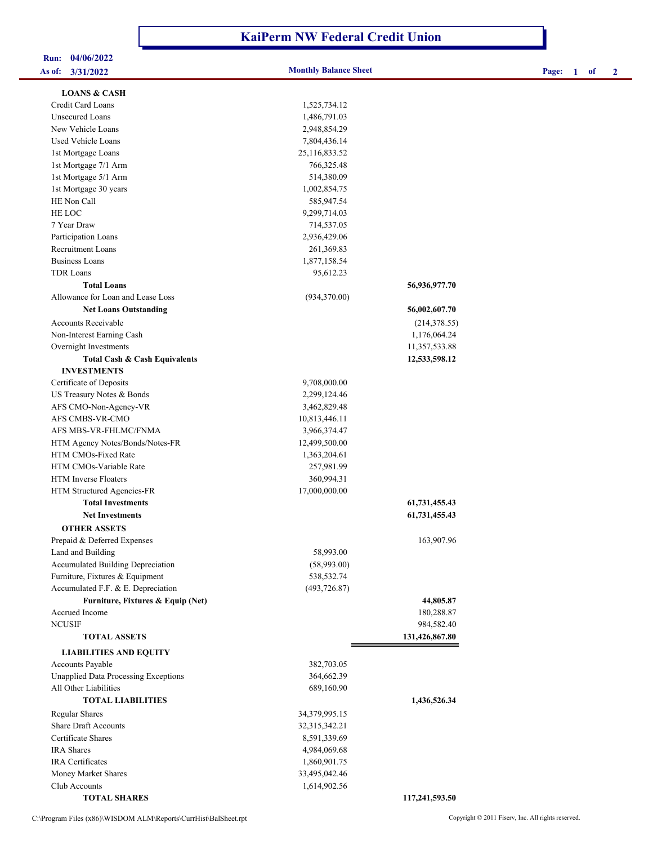## **KaiPerm NW Federal Credit Union**

| <b>Run:</b> | 04/06/2022 |  |
|-------------|------------|--|
| As of:      | 3/31/2022  |  |

## **As of: 3/31/2022 Monthly Balance Sheet Page: 1 of 2**

| <b>LOANS &amp; CASH</b>                     |               |                |
|---------------------------------------------|---------------|----------------|
| Credit Card Loans                           | 1,525,734.12  |                |
| Unsecured Loans                             | 1,486,791.03  |                |
| New Vehicle Loans                           | 2,948,854.29  |                |
| <b>Used Vehicle Loans</b>                   | 7,804,436.14  |                |
| 1st Mortgage Loans                          | 25,116,833.52 |                |
| 1st Mortgage 7/1 Arm                        | 766,325.48    |                |
| 1st Mortgage 5/1 Arm                        | 514,380.09    |                |
| 1st Mortgage 30 years                       | 1,002,854.75  |                |
| HE Non Call                                 | 585,947.54    |                |
| HE LOC                                      | 9,299,714.03  |                |
| 7 Year Draw                                 | 714,537.05    |                |
| Participation Loans                         | 2,936,429.06  |                |
| <b>Recruitment Loans</b>                    | 261,369.83    |                |
| <b>Business Loans</b>                       | 1,877,158.54  |                |
| <b>TDR</b> Loans                            | 95,612.23     |                |
| <b>Total Loans</b>                          |               | 56,936,977.70  |
| Allowance for Loan and Lease Loss           | (934,370.00)  |                |
| <b>Net Loans Outstanding</b>                |               | 56,002,607.70  |
| <b>Accounts Receivable</b>                  |               | (214, 378.55)  |
| Non-Interest Earning Cash                   |               | 1,176,064.24   |
| Overnight Investments                       |               | 11,357,533.88  |
| <b>Total Cash &amp; Cash Equivalents</b>    |               | 12,533,598.12  |
| <b>INVESTMENTS</b>                          |               |                |
| Certificate of Deposits                     | 9,708,000.00  |                |
| US Treasury Notes & Bonds                   | 2,299,124.46  |                |
| AFS CMO-Non-Agency-VR                       | 3,462,829.48  |                |
| AFS CMBS-VR-CMO                             | 10,813,446.11 |                |
| AFS MBS-VR-FHLMC/FNMA                       | 3,966,374.47  |                |
| HTM Agency Notes/Bonds/Notes-FR             | 12,499,500.00 |                |
| HTM CMOs-Fixed Rate                         | 1,363,204.61  |                |
| HTM CMOs-Variable Rate                      | 257,981.99    |                |
| <b>HTM</b> Inverse Floaters                 | 360,994.31    |                |
| HTM Structured Agencies-FR                  | 17,000,000.00 |                |
| <b>Total Investments</b>                    |               | 61,731,455.43  |
| <b>Net Investments</b>                      |               | 61,731,455.43  |
| <b>OTHER ASSETS</b>                         |               |                |
| Prepaid & Deferred Expenses                 |               | 163,907.96     |
| Land and Building                           | 58,993.00     |                |
| Accumulated Building Depreciation           | (58,993.00)   |                |
| Furniture, Fixtures & Equipment             | 538,532.74    |                |
| Accumulated F.F. & E. Depreciation          | (493, 726.87) |                |
| Furniture, Fixtures & Equip (Net)           |               | 44,805.87      |
| Accrued Income                              |               | 180,288.87     |
| <b>NCUSIF</b>                               |               | 984,582.40     |
| <b>TOTAL ASSETS</b>                         |               | 131,426,867.80 |
| <b>LIABILITIES AND EQUITY</b>               |               |                |
| Accounts Payable                            | 382,703.05    |                |
| <b>Unapplied Data Processing Exceptions</b> | 364,662.39    |                |
| All Other Liabilities                       | 689,160.90    |                |
| <b>TOTAL LIABILITIES</b>                    |               | 1,436,526.34   |
| <b>Regular Shares</b>                       | 34,379,995.15 |                |
| <b>Share Draft Accounts</b>                 | 32,315,342.21 |                |
| Certificate Shares                          | 8,591,339.69  |                |
| <b>IRA</b> Shares                           | 4,984,069.68  |                |
| <b>IRA</b> Certificates                     | 1,860,901.75  |                |
| Money Market Shares                         | 33,495,042.46 |                |
| Club Accounts                               | 1,614,902.56  |                |

 **TOTAL SHARES 117,241,593.50** 

C:\Program Files (x86)\WISDOM ALM\Reports\CurrHist\BalSheet.rpt Copyright © 2011 Fiserv, Inc. All rights reserved.